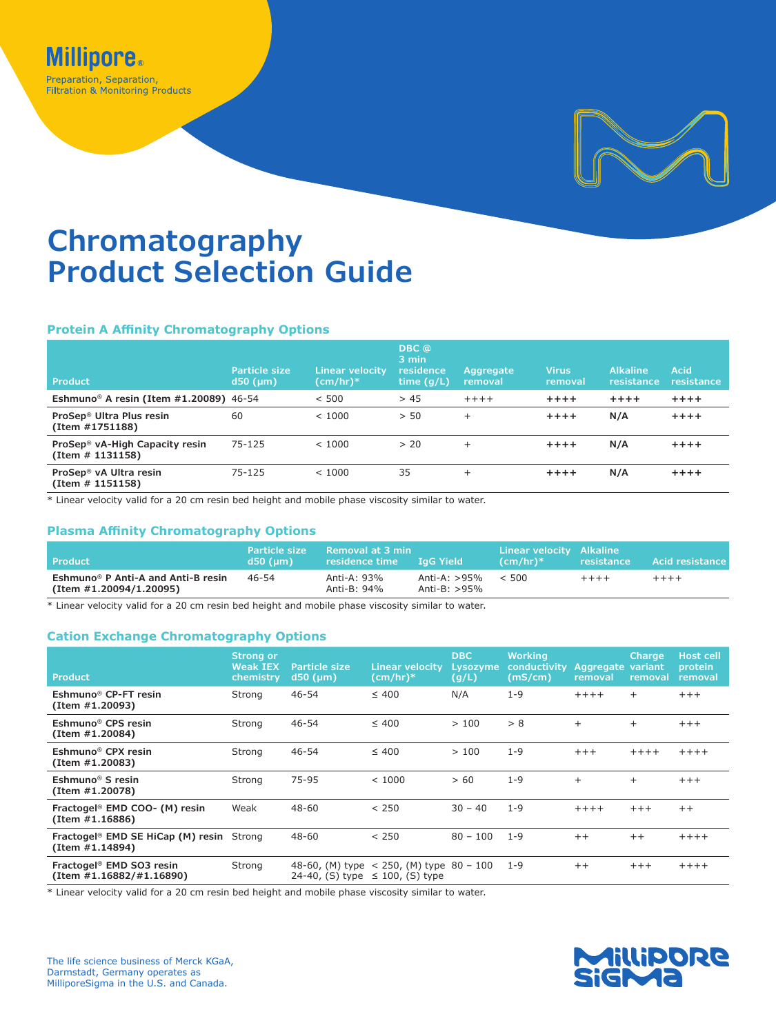

# **Chromatography Product Selection Guide**

### **Protein A Affinity Chromatography Options**

| <b>Product</b>                                                 | <b>Particle size</b><br>$d50$ ( $µm$ ) | <b>Linear velocity</b><br>$(cm/hr)*$ | DBC @<br>3 min<br>residence<br>time $(g/L)$ | Aggregate<br>removal | <b>Virus</b><br>removal | <b>Alkaline</b><br>resistance | Acid<br>resistance |
|----------------------------------------------------------------|----------------------------------------|--------------------------------------|---------------------------------------------|----------------------|-------------------------|-------------------------------|--------------------|
| Eshmuno <sup>®</sup> A resin (Item #1.20089) 46-54             |                                        | < 500                                | > 45                                        | $+++++$              | $***$                   | $+ + + +$                     | $+ + + +$          |
| ProSep <sup>®</sup> Ultra Plus resin<br>(Item #1751188)        | 60                                     | < 1000                               | > 50                                        | $\ddot{}$            | $***$                   | N/A                           | $+ + + +$          |
| ProSep <sup>®</sup> vA-High Capacity resin<br>(Item # 1131158) | 75-125                                 | < 1000                               | > 20                                        | $\ddot{}$            | $+ + + +$               | N/A                           | $+ + + +$          |
| ProSep <sup>®</sup> vA Ultra resin<br>(Item # 1151158)         | 75-125                                 | < 1000                               | 35                                          | $^+$                 | $+ + + +$               | N/A                           | $+ + + +$          |

\* Linear velocity valid for a 20 cm resin bed height and mobile phase viscosity similar to water.

### **Plasma Affinity Chromatography Options**

| <b>Product</b>                                                            | <b>Particle size</b><br>$d50$ (um) | Removal at 3 min<br>residence time LaG Yield |                                 | Linear velocity Alkaline<br>$(cm/hr)*$ | resistance | <b>Acid resistance</b> |
|---------------------------------------------------------------------------|------------------------------------|----------------------------------------------|---------------------------------|----------------------------------------|------------|------------------------|
| Eshmuno <sup>®</sup> P Anti-A and Anti-B resin<br>(Item #1.20094/1.20095) | 46-54                              | Anti-A: 93%<br>Anti-B: 94%                   | Anti-A: >95%<br>Anti-B: $>95\%$ | < 500                                  | $++++$     | $+++++$                |

\* Linear velocity valid for a 20 cm resin bed height and mobile phase viscosity similar to water.

### **Cation Exchange Chromatography Options**

| Product                                                                 | <b>Strong or</b><br><b>Weak IEX</b><br>chemistry | Particle size<br>$d50$ ( $µm$ ) | <b>Linear velocity</b><br>(cm/hr)*                                                 | <b>DBC</b><br>Lysozyme<br>(g/L) | <b>Working</b><br>conductivity<br>(mS/cm) | Aggregate variant<br>removal | <b>Charge</b><br>removal | <b>Host cell</b><br>protein<br>removal |
|-------------------------------------------------------------------------|--------------------------------------------------|---------------------------------|------------------------------------------------------------------------------------|---------------------------------|-------------------------------------------|------------------------------|--------------------------|----------------------------------------|
| Eshmuno <sup>®</sup> CP-FT resin<br>(Item #1.20093)                     | Strong                                           | $46 - 54$                       | $\leq 400$                                                                         | N/A                             | $1 - 9$                                   | $+++++$                      | $+$                      | $+++$                                  |
| Eshmuno <sup>®</sup> CPS resin<br>(Item #1.20084)                       | Strong                                           | $46 - 54$                       | $\leq 400$                                                                         | >100                            | > 8                                       | $\ddot{}$                    | $^{+}$                   | $+++$                                  |
| Eshmuno <sup>®</sup> CPX resin<br>(Item #1.20083)                       | Strong                                           | 46-54                           | $\leq 400$                                                                         | >100                            | $1 - 9$                                   | $+++$                        | $+++++$                  | $+++++$                                |
| Eshmuno <sup>®</sup> S resin<br>(Item #1.20078)                         | Strong                                           | 75-95                           | < 1000                                                                             | > 60                            | $1 - 9$                                   | $^{+}$                       | $^{+}$                   | $+++$                                  |
| Fractogel <sup>®</sup> EMD COO- (M) resin<br>(Item #1.16886)            | Weak                                             | $48 - 60$                       | < 250                                                                              | $30 - 40$                       | $1 - 9$                                   | $+++++$                      | $+++$                    | $++$                                   |
| Fractogel <sup>®</sup> EMD SE HiCap (M) resin Strong<br>(Item #1.14894) |                                                  | $48 - 60$                       | < 250                                                                              | $80 - 100$                      | $1 - 9$                                   | $++$                         | $++$                     | $++++$                                 |
| Fractogel <sup>®</sup> EMD SO3 resin<br>(Item #1.16882/#1.16890)        | Strong                                           |                                 | 48-60, (M) type $<$ 250, (M) type 80 - 100<br>24-40, (S) type $\leq$ 100, (S) type |                                 | $1 - 9$                                   | $++$                         | $+++$                    | $+++++$                                |

\* Linear velocity valid for a 20 cm resin bed height and mobile phase viscosity similar to water.

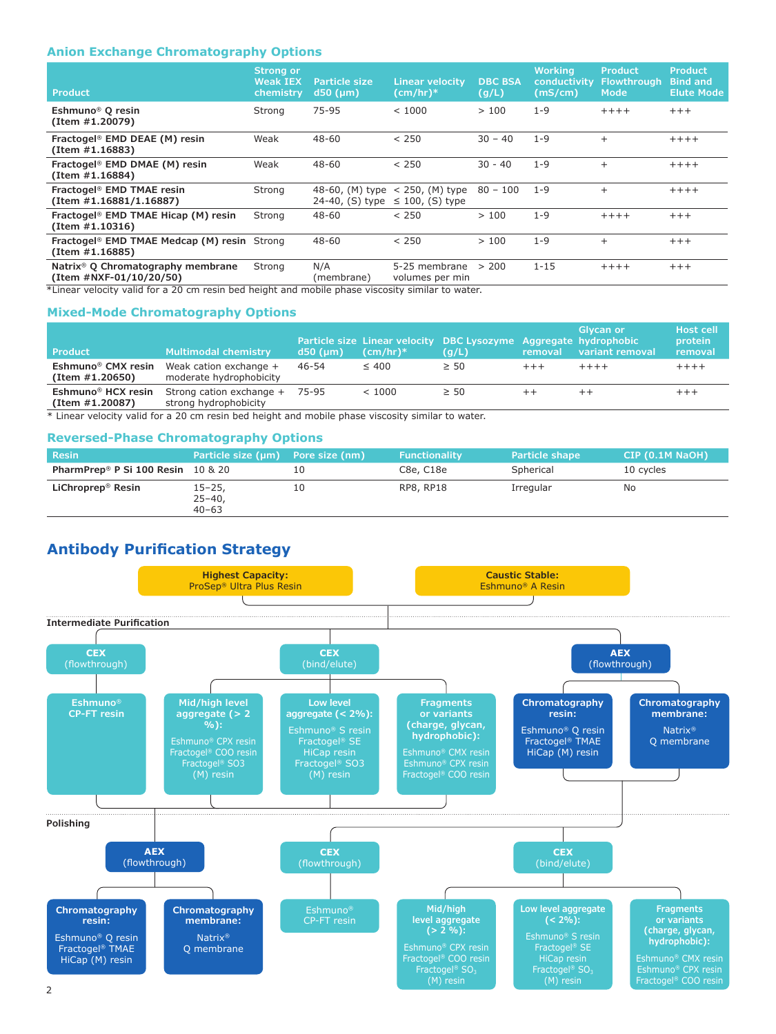### **Anion Exchange Chromatography Options**

| <b>Product</b>                                                             | <b>Strong or</b><br><b>Weak IEX</b><br>chemistry | Particle size<br>d50 (µm)          | <b>Linear velocity</b><br>$(cm/hr)*$      | <b>DBC BSA</b><br>(g/L) | <b>Working</b><br>conductivity<br>(mS/cm) | <b>Product</b><br><b>Flowthrough</b><br><b>Mode</b> | <b>Product</b><br><b>Bind and</b><br><b>Elute Mode</b> |
|----------------------------------------------------------------------------|--------------------------------------------------|------------------------------------|-------------------------------------------|-------------------------|-------------------------------------------|-----------------------------------------------------|--------------------------------------------------------|
| Eshmuno <sup>®</sup> Q resin<br>(Item #1.20079)                            | Strong                                           | 75-95                              | < 1000                                    | >100                    | $1 - 9$                                   | $+++++$                                             | $+++$                                                  |
| Fractogel <sup>®</sup> EMD DEAE (M) resin<br>(Item #1.16883)               | Weak                                             | $48 - 60$                          | < 250                                     | $30 - 40$               | $1 - 9$                                   | $\ddot{}$                                           | $+++++$                                                |
| Fractogel <sup>®</sup> EMD DMAE (M) resin<br>(Item #1.16884)               | Weak                                             | 48-60                              | < 250                                     | $30 - 40$               | $1 - 9$                                   | $\ddot{}$                                           | $+++++$                                                |
| Fractogel <sup>®</sup> EMD TMAE resin<br>(Item #1.16881/1.16887)           | Strong                                           | 48-60, (M) type<br>24-40, (S) type | $<$ 250, (M) type<br>$\leq$ 100, (S) type | $80 - 100$              | $1 - 9$                                   | $^{+}$                                              | $+++++$                                                |
| Fractogel <sup>®</sup> EMD TMAE Hicap (M) resin<br>(Item #1.10316)         | Strong                                           | $48 - 60$                          | < 250                                     | >100                    | $1 - 9$                                   | $+++++$                                             | $+++$                                                  |
| Fractogel <sup>®</sup> EMD TMAE Medcap (M) resin Strong<br>(Item #1.16885) |                                                  | 48-60                              | < 250                                     | >100                    | $1 - 9$                                   | $+$                                                 | $+++$                                                  |
| Natrix <sup>®</sup> Q Chromatography membrane<br>(Item #NXF-01/10/20/50)   | Strong                                           | N/A<br>(membrane)                  | 5-25 membrane<br>volumes per min          | > 200                   | $1 - 15$                                  | $+++++$                                             | $+++$                                                  |

\*Linear velocity valid for a 20 cm resin bed height and mobile phase viscosity similar to water.

### **Mixed-Mode Chromatography Options**

| <b>Product</b>                                    | <b>Multimodal chemistry</b>                       | $d50$ (um) | $(cm/hr)*$ | Particle size Linear velocity DBC Lysozyme Aggregate hydrophobic<br>(g/L) | removal | Glycan or<br>variant removal | <b>Host cell</b><br>protein<br>removal |
|---------------------------------------------------|---------------------------------------------------|------------|------------|---------------------------------------------------------------------------|---------|------------------------------|----------------------------------------|
| Eshmuno <sup>®</sup> CMX resin<br>(Item #1.20650) | Weak cation exchange +<br>moderate hydrophobicity | 46-54      | $\leq 400$ | $\geq 50$                                                                 | $+++$   | $+++++$                      | $+++++$                                |
| Eshmuno <sup>®</sup> HCX resin<br>(Item #1.20087) | Strong cation exchange +<br>strong hydrophobicity | 75-95      | < 1000     | $\geq 50$                                                                 | $^+$    |                              | $++++$                                 |

\* Linear velocity valid for a 20 cm resin bed height and mobile phase viscosity similar to water.

#### **Reversed-Phase Chromatography Options**

| <b>Resin</b>                                     | Particle size (µm) Pore size (nm)       |    | <b>Functionality</b> | <b>Particle shape</b> | CIP (0.1M NaOH) |
|--------------------------------------------------|-----------------------------------------|----|----------------------|-----------------------|-----------------|
| PharmPrep <sup>®</sup> P Si 100 Resin $10 \& 20$ |                                         | 10 | C8e, C18e            | Spherical             | 10 cycles       |
| LiChroprep <sup>®</sup> Resin                    | $15 - 25$ ,<br>$25 - 40$ ,<br>$40 - 63$ | 10 | RP8, RP18            | Irregular             | No              |

# **Antibody Purification Strategy**

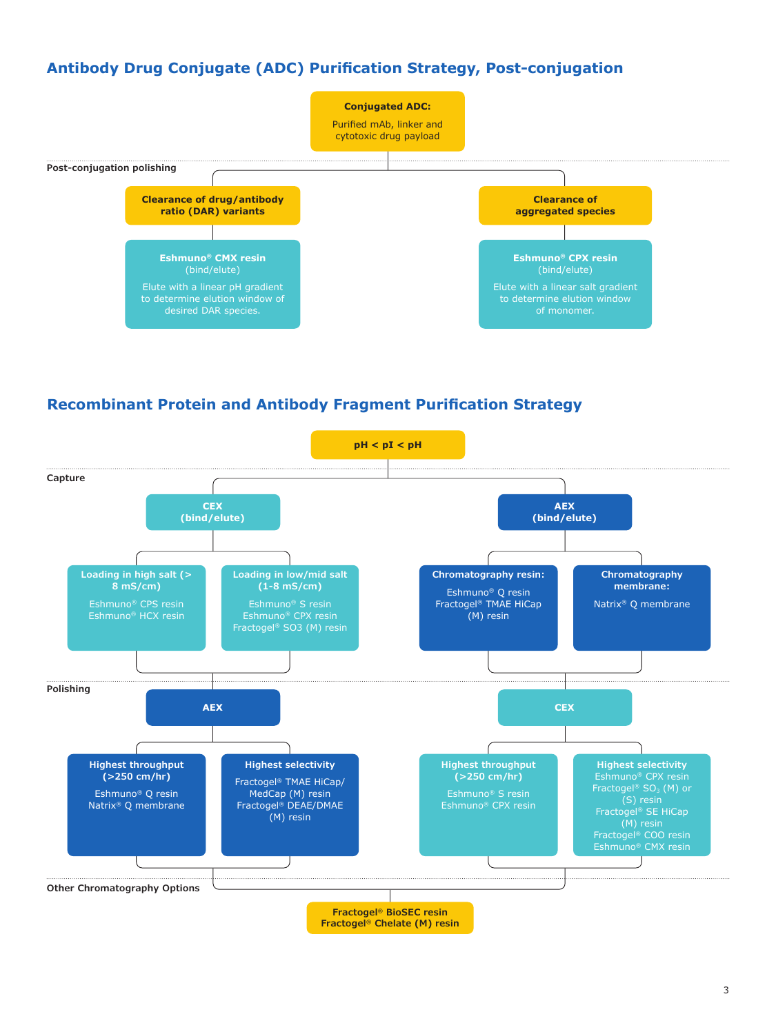# **Antibody Drug Conjugate (ADC) Purification Strategy, Post-conjugation**



## **Recombinant Protein and Antibody Fragment Purification Strategy**

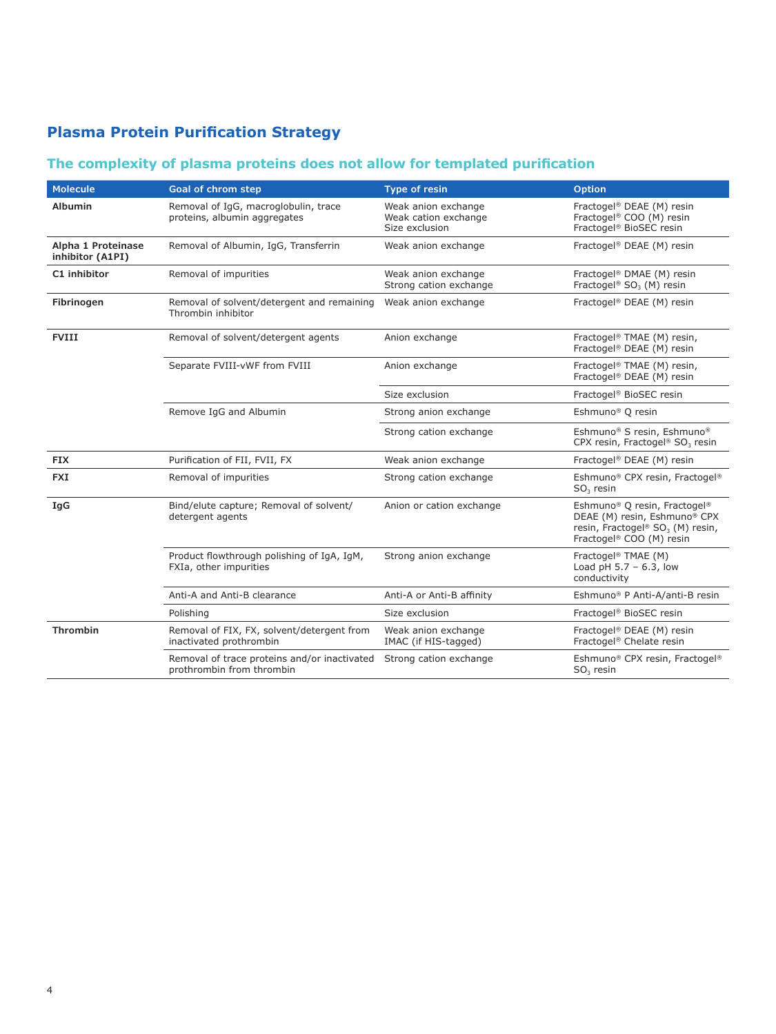# **Plasma Protein Purification Strategy**

# **The complexity of plasma proteins does not allow for templated purification**

| <b>Molecule</b>                        | Goal of chrom step                                                        | <b>Type of resin</b>                                          | <b>Option</b>                                                                                                                                                    |
|----------------------------------------|---------------------------------------------------------------------------|---------------------------------------------------------------|------------------------------------------------------------------------------------------------------------------------------------------------------------------|
| <b>Albumin</b>                         | Removal of IgG, macroglobulin, trace<br>proteins, albumin aggregates      | Weak anion exchange<br>Weak cation exchange<br>Size exclusion | Fractogel <sup>®</sup> DEAE (M) resin<br>Fractogel® COO (M) resin<br>Fractogel® BioSEC resin                                                                     |
| Alpha 1 Proteinase<br>inhibitor (A1PI) | Removal of Albumin, IqG, Transferrin                                      | Weak anion exchange                                           | Fractogel <sup>®</sup> DEAE (M) resin                                                                                                                            |
| C1 inhibitor                           | Removal of impurities                                                     | Weak anion exchange<br>Strong cation exchange                 | Fractogel <sup>®</sup> DMAE (M) resin<br>Fractogel® SO <sub>3</sub> (M) resin                                                                                    |
| Fibrinogen                             | Removal of solvent/detergent and remaining<br>Thrombin inhibitor          | Weak anion exchange                                           | Fractogel® DEAE (M) resin                                                                                                                                        |
| <b>FVIII</b>                           | Removal of solvent/detergent agents                                       | Anion exchange                                                | Fractogel <sup>®</sup> TMAE (M) resin,<br>Fractogel® DEAE (M) resin                                                                                              |
|                                        | Separate FVIII-vWF from FVIII                                             | Anion exchange                                                | Fractogel <sup>®</sup> TMAE (M) resin,<br>Fractogel® DEAE (M) resin                                                                                              |
|                                        |                                                                           | Size exclusion                                                | Fractogel <sup>®</sup> BioSEC resin                                                                                                                              |
|                                        | Remove IgG and Albumin                                                    | Strong anion exchange                                         | Eshmuno <sup>®</sup> Q resin                                                                                                                                     |
|                                        |                                                                           | Strong cation exchange                                        | Eshmuno <sup>®</sup> S resin, Eshmuno®<br>CPX resin, Fractogel® SO <sub>3</sub> resin                                                                            |
| <b>FIX</b>                             | Purification of FII, FVII, FX                                             | Weak anion exchange                                           | Fractogel <sup>®</sup> DEAE (M) resin                                                                                                                            |
| <b>FXI</b>                             | Removal of impurities                                                     | Strong cation exchange                                        | Eshmuno <sup>®</sup> CPX resin, Fractogel <sup>®</sup><br>$SO3$ resin                                                                                            |
| IgG                                    | Bind/elute capture; Removal of solvent/<br>detergent agents               | Anion or cation exchange                                      | Eshmuno <sup>®</sup> Q resin, Fractogel <sup>®</sup><br>DEAE (M) resin, Eshmuno® CPX<br>resin, Fractogel® SO <sub>3</sub> (M) resin,<br>Fractogel® COO (M) resin |
|                                        | Product flowthrough polishing of IgA, IgM,<br>FXIa, other impurities      | Strong anion exchange                                         | Fractogel <sup>®</sup> TMAE (M)<br>Load pH $5.7 - 6.3$ , low<br>conductivity                                                                                     |
|                                        | Anti-A and Anti-B clearance                                               | Anti-A or Anti-B affinity                                     | Eshmuno <sup>®</sup> P Anti-A/anti-B resin                                                                                                                       |
|                                        | Polishing                                                                 | Size exclusion                                                | Fractogel <sup>®</sup> BioSEC resin                                                                                                                              |
| <b>Thrombin</b>                        | Removal of FIX, FX, solvent/detergent from<br>inactivated prothrombin     | Weak anion exchange<br>IMAC (if HIS-tagged)                   | Fractogel® DEAE (M) resin<br>Fractogel <sup>®</sup> Chelate resin                                                                                                |
|                                        | Removal of trace proteins and/or inactivated<br>prothrombin from thrombin | Strong cation exchange                                        | Eshmuno <sup>®</sup> CPX resin, Fractogel <sup>®</sup><br>$SO3$ resin                                                                                            |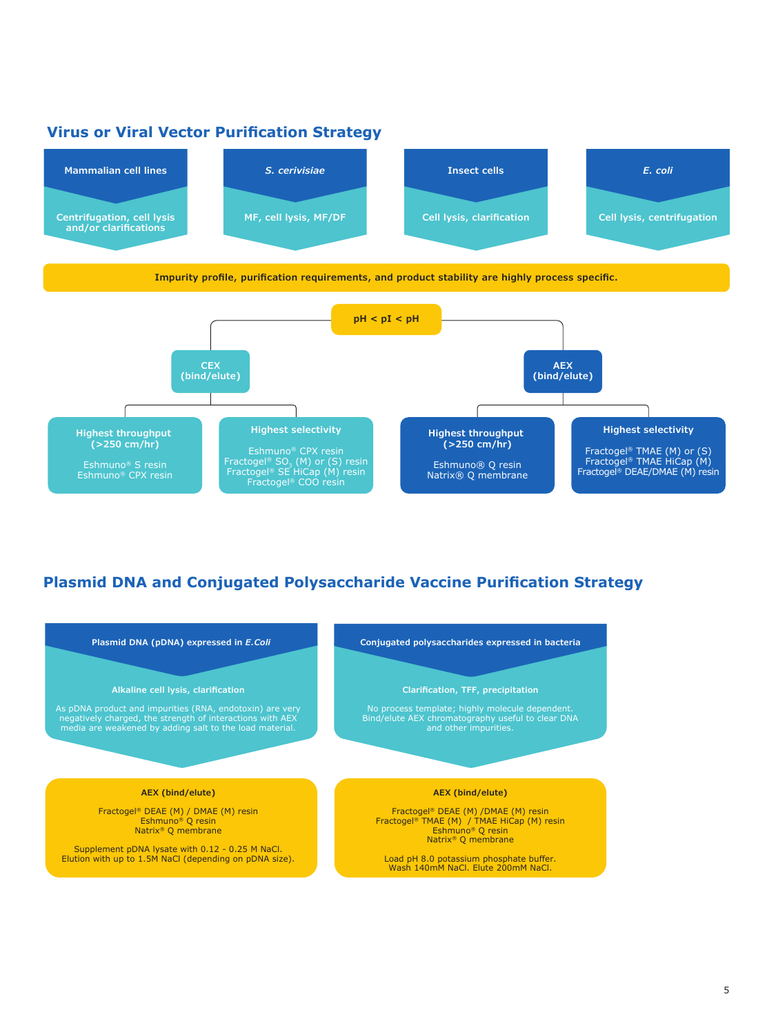# **Virus or Viral Vector Purification Strategy**



# **Plasmid DNA and Conjugated Polysaccharide Vaccine Purification Strategy**